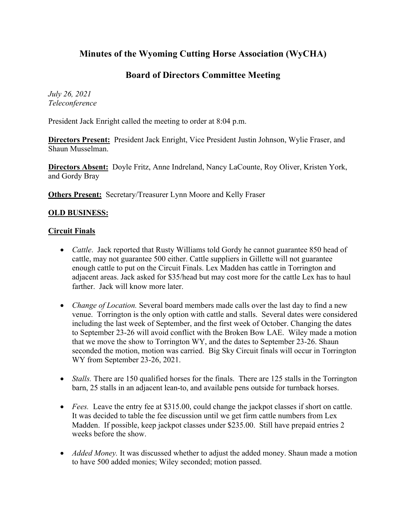## **Minutes of the Wyoming Cutting Horse Association (WyCHA)**

## **Board of Directors Committee Meeting**

*July 26, 2021 Teleconference*

President Jack Enright called the meeting to order at 8:04 p.m.

**Directors Present:** President Jack Enright, Vice President Justin Johnson, Wylie Fraser, and Shaun Musselman.

**Directors Absent:** Doyle Fritz, Anne Indreland, Nancy LaCounte, Roy Oliver, Kristen York, and Gordy Bray

**Others Present:** Secretary/Treasurer Lynn Moore and Kelly Fraser

## **OLD BUSINESS:**

## **Circuit Finals**

- *Cattle*. Jack reported that Rusty Williams told Gordy he cannot guarantee 850 head of cattle, may not guarantee 500 either. Cattle suppliers in Gillette will not guarantee enough cattle to put on the Circuit Finals. Lex Madden has cattle in Torrington and adjacent areas. Jack asked for \$35/head but may cost more for the cattle Lex has to haul farther. Jack will know more later.
- *Change of Location.* Several board members made calls over the last day to find a new venue. Torrington is the only option with cattle and stalls. Several dates were considered including the last week of September, and the first week of October. Changing the dates to September 23-26 will avoid conflict with the Broken Bow LAE. Wiley made a motion that we move the show to Torrington WY, and the dates to September 23-26. Shaun seconded the motion, motion was carried. Big Sky Circuit finals will occur in Torrington WY from September 23-26, 2021.
- *Stalls.* There are 150 qualified horses for the finals. There are 125 stalls in the Torrington barn, 25 stalls in an adjacent lean-to, and available pens outside for turnback horses.
- *Fees.* Leave the entry fee at \$315.00, could change the jackpot classes if short on cattle. It was decided to table the fee discussion until we get firm cattle numbers from Lex Madden. If possible, keep jackpot classes under \$235.00. Still have prepaid entries 2 weeks before the show.
- *Added Money*. It was discussed whether to adjust the added money. Shaun made a motion to have 500 added monies; Wiley seconded; motion passed.